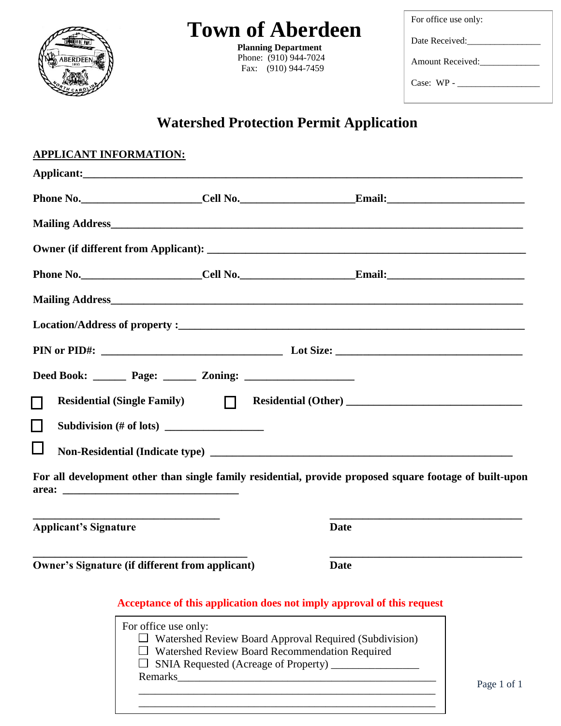| ERDEE<br>1893 |
|---------------|
| ó             |

## **Town of Aberdeen**

 **Planning Department**  Phone: (910) 944-7024 Fax: (910) 944-7459

For office use only: Date Received:\_\_\_\_\_\_\_\_\_\_\_\_\_\_\_\_ Amount Received: Case: WP - \_\_\_\_\_\_\_\_\_\_\_\_\_\_\_\_\_\_

## **Watershed Protection Permit Application**

|                              | <b>APPLICANT INFORMATION:</b>                                                                                        |                                                                                                          |                                                                                                         |
|------------------------------|----------------------------------------------------------------------------------------------------------------------|----------------------------------------------------------------------------------------------------------|---------------------------------------------------------------------------------------------------------|
|                              |                                                                                                                      |                                                                                                          |                                                                                                         |
|                              |                                                                                                                      |                                                                                                          |                                                                                                         |
|                              |                                                                                                                      |                                                                                                          |                                                                                                         |
|                              |                                                                                                                      |                                                                                                          |                                                                                                         |
|                              |                                                                                                                      |                                                                                                          |                                                                                                         |
|                              |                                                                                                                      |                                                                                                          |                                                                                                         |
|                              |                                                                                                                      |                                                                                                          |                                                                                                         |
|                              |                                                                                                                      |                                                                                                          |                                                                                                         |
|                              |                                                                                                                      |                                                                                                          |                                                                                                         |
|                              |                                                                                                                      |                                                                                                          |                                                                                                         |
| $\Box$                       | Residential (Single Family) $\Box$                                                                                   |                                                                                                          |                                                                                                         |
|                              |                                                                                                                      |                                                                                                          |                                                                                                         |
|                              |                                                                                                                      |                                                                                                          |                                                                                                         |
|                              |                                                                                                                      |                                                                                                          |                                                                                                         |
|                              |                                                                                                                      |                                                                                                          | For all development other than single family residential, provide proposed square footage of built-upon |
| area:                        | <u> 1999 - Johann John Stein, markin fan it ferskearre fan it ferskearre fan it ferskearre fan it ferskearre fan</u> |                                                                                                          |                                                                                                         |
|                              |                                                                                                                      |                                                                                                          | the control of the control of the control of the control of the control of the control of               |
| <b>Applicant's Signature</b> |                                                                                                                      | Date                                                                                                     |                                                                                                         |
|                              | Owner's Signature (if different from applicant)                                                                      | <b>Date</b>                                                                                              |                                                                                                         |
|                              |                                                                                                                      |                                                                                                          |                                                                                                         |
|                              |                                                                                                                      | Acceptance of this application does not imply approval of this request                                   |                                                                                                         |
|                              | For office use only:                                                                                                 |                                                                                                          |                                                                                                         |
|                              |                                                                                                                      | Watershed Review Board Approval Required (Subdivision)                                                   |                                                                                                         |
|                              |                                                                                                                      | Watershed Review Board Recommendation Required<br>SNIA Requested (Acreage of Property) _________________ |                                                                                                         |
|                              |                                                                                                                      |                                                                                                          |                                                                                                         |
|                              |                                                                                                                      |                                                                                                          | Page 1 of 1                                                                                             |

\_\_\_\_\_\_\_\_\_\_\_\_\_\_\_\_\_\_\_\_\_\_\_\_\_\_\_\_\_\_\_\_\_\_\_\_\_\_\_\_\_\_\_\_\_\_\_\_\_\_\_\_\_\_